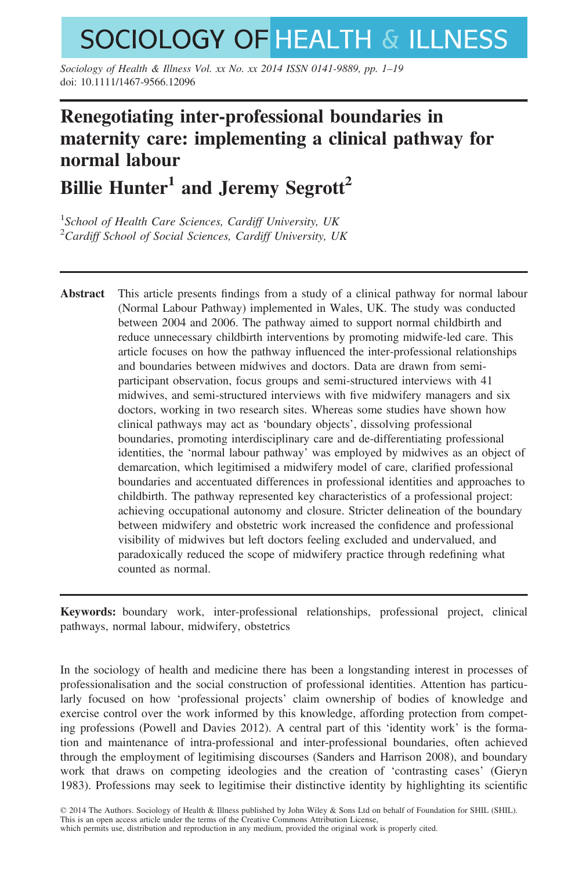# **SOCIOLOGY OF HEALTH & ILLNESS**

Sociology of Health & Illness Vol. xx No. xx 2014 ISSN 0141-9889, pp. 1–19 doi: 10.1111/1467-9566.12096

# Renegotiating inter-professional boundaries in maternity care: implementing a clinical pathway for normal labour

Billie Hunter<sup>1</sup> and Jeremy Segrott<sup>2</sup>

 ${}^{1}$ School of Health Care Sciences, Cardiff University, UK <sup>2</sup>Cardiff School of Social Sciences, Cardiff University, UK

Abstract This article presents findings from a study of a clinical pathway for normal labour (Normal Labour Pathway) implemented in Wales, UK. The study was conducted between 2004 and 2006. The pathway aimed to support normal childbirth and reduce unnecessary childbirth interventions by promoting midwife-led care. This article focuses on how the pathway influenced the inter-professional relationships and boundaries between midwives and doctors. Data are drawn from semiparticipant observation, focus groups and semi-structured interviews with 41 midwives, and semi-structured interviews with five midwifery managers and six doctors, working in two research sites. Whereas some studies have shown how clinical pathways may act as 'boundary objects', dissolving professional boundaries, promoting interdisciplinary care and de-differentiating professional identities, the 'normal labour pathway' was employed by midwives as an object of demarcation, which legitimised a midwifery model of care, clarified professional boundaries and accentuated differences in professional identities and approaches to childbirth. The pathway represented key characteristics of a professional project: achieving occupational autonomy and closure. Stricter delineation of the boundary between midwifery and obstetric work increased the confidence and professional visibility of midwives but left doctors feeling excluded and undervalued, and paradoxically reduced the scope of midwifery practice through redefining what counted as normal.

Keywords: boundary work, inter-professional relationships, professional project, clinical pathways, normal labour, midwifery, obstetrics

In the sociology of health and medicine there has been a longstanding interest in processes of professionalisation and the social construction of professional identities. Attention has particularly focused on how 'professional projects' claim ownership of bodies of knowledge and exercise control over the work informed by this knowledge, affording protection from competing professions (Powell and Davies 2012). A central part of this 'identity work' is the formation and maintenance of intra-professional and inter-professional boundaries, often achieved through the employment of legitimising discourses (Sanders and Harrison 2008), and boundary work that draws on competing ideologies and the creation of 'contrasting cases' (Gieryn 1983). Professions may seek to legitimise their distinctive identity by highlighting its scientific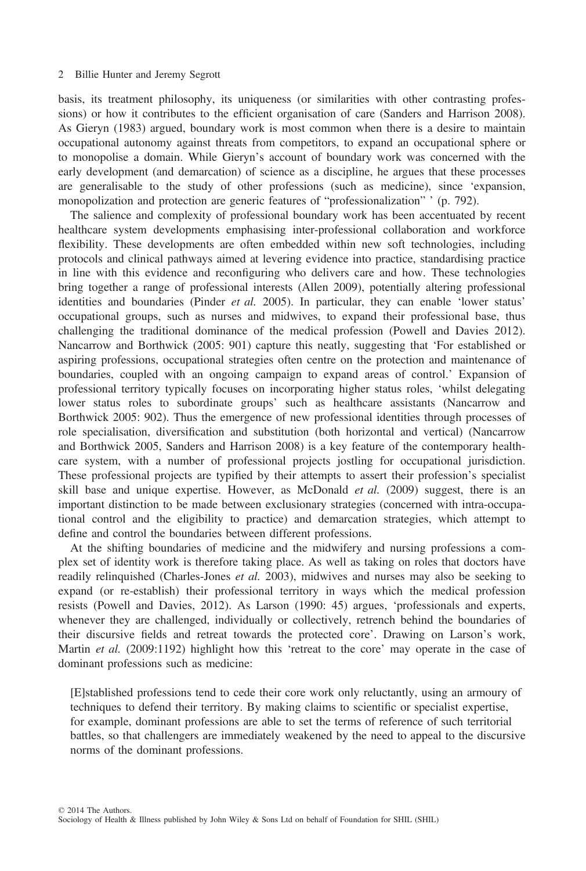basis, its treatment philosophy, its uniqueness (or similarities with other contrasting professions) or how it contributes to the efficient organisation of care (Sanders and Harrison 2008). As Gieryn (1983) argued, boundary work is most common when there is a desire to maintain occupational autonomy against threats from competitors, to expand an occupational sphere or to monopolise a domain. While Gieryn's account of boundary work was concerned with the early development (and demarcation) of science as a discipline, he argues that these processes are generalisable to the study of other professions (such as medicine), since 'expansion, monopolization and protection are generic features of "professionalization" ' (p. 792).

The salience and complexity of professional boundary work has been accentuated by recent healthcare system developments emphasising inter-professional collaboration and workforce flexibility. These developments are often embedded within new soft technologies, including protocols and clinical pathways aimed at levering evidence into practice, standardising practice in line with this evidence and reconfiguring who delivers care and how. These technologies bring together a range of professional interests (Allen 2009), potentially altering professional identities and boundaries (Pinder et al. 2005). In particular, they can enable 'lower status' occupational groups, such as nurses and midwives, to expand their professional base, thus challenging the traditional dominance of the medical profession (Powell and Davies 2012). Nancarrow and Borthwick (2005: 901) capture this neatly, suggesting that 'For established or aspiring professions, occupational strategies often centre on the protection and maintenance of boundaries, coupled with an ongoing campaign to expand areas of control.' Expansion of professional territory typically focuses on incorporating higher status roles, 'whilst delegating lower status roles to subordinate groups' such as healthcare assistants (Nancarrow and Borthwick 2005: 902). Thus the emergence of new professional identities through processes of role specialisation, diversification and substitution (both horizontal and vertical) (Nancarrow and Borthwick 2005, Sanders and Harrison 2008) is a key feature of the contemporary healthcare system, with a number of professional projects jostling for occupational jurisdiction. These professional projects are typified by their attempts to assert their profession's specialist skill base and unique expertise. However, as McDonald *et al.* (2009) suggest, there is an important distinction to be made between exclusionary strategies (concerned with intra-occupational control and the eligibility to practice) and demarcation strategies, which attempt to define and control the boundaries between different professions.

At the shifting boundaries of medicine and the midwifery and nursing professions a complex set of identity work is therefore taking place. As well as taking on roles that doctors have readily relinquished (Charles-Jones et al. 2003), midwives and nurses may also be seeking to expand (or re-establish) their professional territory in ways which the medical profession resists (Powell and Davies, 2012). As Larson (1990: 45) argues, 'professionals and experts, whenever they are challenged, individually or collectively, retrench behind the boundaries of their discursive fields and retreat towards the protected core'. Drawing on Larson's work, Martin et al. (2009:1192) highlight how this 'retreat to the core' may operate in the case of dominant professions such as medicine:

[E]stablished professions tend to cede their core work only reluctantly, using an armoury of techniques to defend their territory. By making claims to scientific or specialist expertise, for example, dominant professions are able to set the terms of reference of such territorial battles, so that challengers are immediately weakened by the need to appeal to the discursive norms of the dominant professions.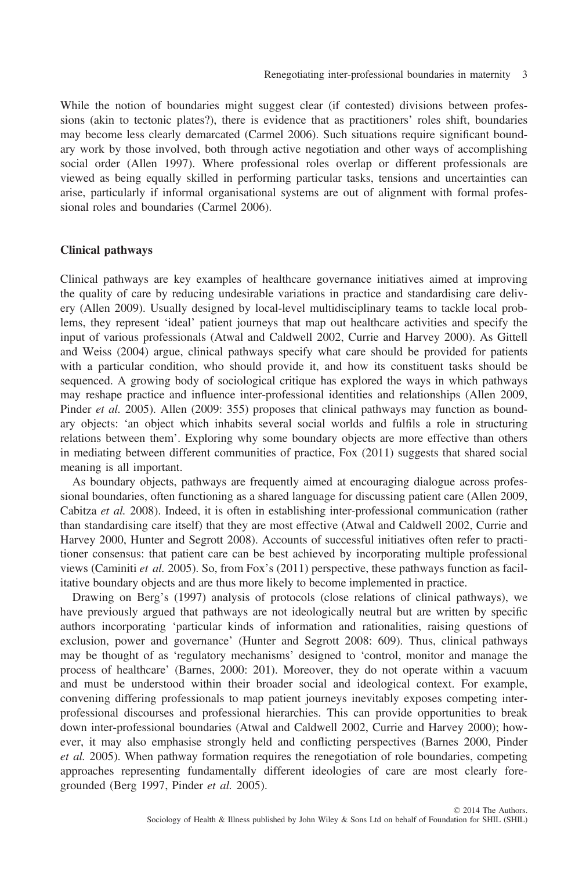While the notion of boundaries might suggest clear (if contested) divisions between professions (akin to tectonic plates?), there is evidence that as practitioners' roles shift, boundaries may become less clearly demarcated (Carmel 2006). Such situations require significant boundary work by those involved, both through active negotiation and other ways of accomplishing social order (Allen 1997). Where professional roles overlap or different professionals are viewed as being equally skilled in performing particular tasks, tensions and uncertainties can arise, particularly if informal organisational systems are out of alignment with formal professional roles and boundaries (Carmel 2006).

## Clinical pathways

Clinical pathways are key examples of healthcare governance initiatives aimed at improving the quality of care by reducing undesirable variations in practice and standardising care delivery (Allen 2009). Usually designed by local-level multidisciplinary teams to tackle local problems, they represent 'ideal' patient journeys that map out healthcare activities and specify the input of various professionals (Atwal and Caldwell 2002, Currie and Harvey 2000). As Gittell and Weiss (2004) argue, clinical pathways specify what care should be provided for patients with a particular condition, who should provide it, and how its constituent tasks should be sequenced. A growing body of sociological critique has explored the ways in which pathways may reshape practice and influence inter-professional identities and relationships (Allen 2009, Pinder *et al.* 2005). Allen (2009: 355) proposes that clinical pathways may function as boundary objects: 'an object which inhabits several social worlds and fulfils a role in structuring relations between them'. Exploring why some boundary objects are more effective than others in mediating between different communities of practice, Fox (2011) suggests that shared social meaning is all important.

As boundary objects, pathways are frequently aimed at encouraging dialogue across professional boundaries, often functioning as a shared language for discussing patient care (Allen 2009, Cabitza et al. 2008). Indeed, it is often in establishing inter-professional communication (rather than standardising care itself) that they are most effective (Atwal and Caldwell 2002, Currie and Harvey 2000, Hunter and Segrott 2008). Accounts of successful initiatives often refer to practitioner consensus: that patient care can be best achieved by incorporating multiple professional views (Caminiti et al. 2005). So, from Fox's (2011) perspective, these pathways function as facilitative boundary objects and are thus more likely to become implemented in practice.

Drawing on Berg's (1997) analysis of protocols (close relations of clinical pathways), we have previously argued that pathways are not ideologically neutral but are written by specific authors incorporating 'particular kinds of information and rationalities, raising questions of exclusion, power and governance' (Hunter and Segrott 2008: 609). Thus, clinical pathways may be thought of as 'regulatory mechanisms' designed to 'control, monitor and manage the process of healthcare' (Barnes, 2000: 201). Moreover, they do not operate within a vacuum and must be understood within their broader social and ideological context. For example, convening differing professionals to map patient journeys inevitably exposes competing interprofessional discourses and professional hierarchies. This can provide opportunities to break down inter-professional boundaries (Atwal and Caldwell 2002, Currie and Harvey 2000); however, it may also emphasise strongly held and conflicting perspectives (Barnes 2000, Pinder et al. 2005). When pathway formation requires the renegotiation of role boundaries, competing approaches representing fundamentally different ideologies of care are most clearly foregrounded (Berg 1997, Pinder et al. 2005).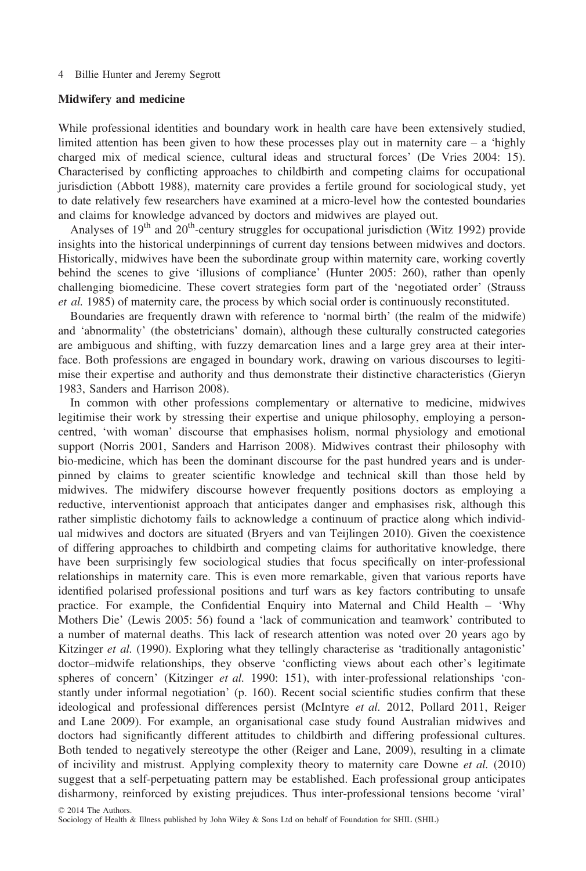## Midwifery and medicine

While professional identities and boundary work in health care have been extensively studied, limited attention has been given to how these processes play out in maternity care – a 'highly charged mix of medical science, cultural ideas and structural forces' (De Vries 2004: 15). Characterised by conflicting approaches to childbirth and competing claims for occupational jurisdiction (Abbott 1988), maternity care provides a fertile ground for sociological study, yet to date relatively few researchers have examined at a micro-level how the contested boundaries and claims for knowledge advanced by doctors and midwives are played out.

Analyses of  $19<sup>th</sup>$  and  $20<sup>th</sup>$ -century struggles for occupational jurisdiction (Witz 1992) provide insights into the historical underpinnings of current day tensions between midwives and doctors. Historically, midwives have been the subordinate group within maternity care, working covertly behind the scenes to give 'illusions of compliance' (Hunter 2005: 260), rather than openly challenging biomedicine. These covert strategies form part of the 'negotiated order' (Strauss et al. 1985) of maternity care, the process by which social order is continuously reconstituted.

Boundaries are frequently drawn with reference to 'normal birth' (the realm of the midwife) and 'abnormality' (the obstetricians' domain), although these culturally constructed categories are ambiguous and shifting, with fuzzy demarcation lines and a large grey area at their interface. Both professions are engaged in boundary work, drawing on various discourses to legitimise their expertise and authority and thus demonstrate their distinctive characteristics (Gieryn 1983, Sanders and Harrison 2008).

In common with other professions complementary or alternative to medicine, midwives legitimise their work by stressing their expertise and unique philosophy, employing a personcentred, 'with woman' discourse that emphasises holism, normal physiology and emotional support (Norris 2001, Sanders and Harrison 2008). Midwives contrast their philosophy with bio-medicine, which has been the dominant discourse for the past hundred years and is underpinned by claims to greater scientific knowledge and technical skill than those held by midwives. The midwifery discourse however frequently positions doctors as employing a reductive, interventionist approach that anticipates danger and emphasises risk, although this rather simplistic dichotomy fails to acknowledge a continuum of practice along which individual midwives and doctors are situated (Bryers and van Teijlingen 2010). Given the coexistence of differing approaches to childbirth and competing claims for authoritative knowledge, there have been surprisingly few sociological studies that focus specifically on inter-professional relationships in maternity care. This is even more remarkable, given that various reports have identified polarised professional positions and turf wars as key factors contributing to unsafe practice. For example, the Confidential Enquiry into Maternal and Child Health – 'Why Mothers Die' (Lewis 2005: 56) found a 'lack of communication and teamwork' contributed to a number of maternal deaths. This lack of research attention was noted over 20 years ago by Kitzinger et al. (1990). Exploring what they tellingly characterise as 'traditionally antagonistic' doctor–midwife relationships, they observe 'conflicting views about each other's legitimate spheres of concern' (Kitzinger et al. 1990: 151), with inter-professional relationships 'constantly under informal negotiation' (p. 160). Recent social scientific studies confirm that these ideological and professional differences persist (McIntyre et al. 2012, Pollard 2011, Reiger and Lane 2009). For example, an organisational case study found Australian midwives and doctors had significantly different attitudes to childbirth and differing professional cultures. Both tended to negatively stereotype the other (Reiger and Lane, 2009), resulting in a climate of incivility and mistrust. Applying complexity theory to maternity care Downe et al. (2010) suggest that a self-perpetuating pattern may be established. Each professional group anticipates disharmony, reinforced by existing prejudices. Thus inter-professional tensions become 'viral'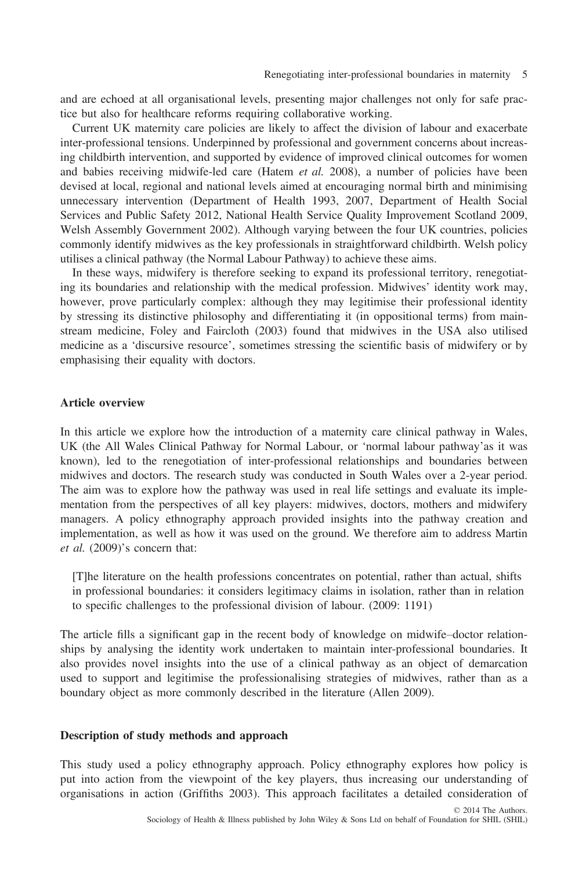and are echoed at all organisational levels, presenting major challenges not only for safe practice but also for healthcare reforms requiring collaborative working.

Current UK maternity care policies are likely to affect the division of labour and exacerbate inter-professional tensions. Underpinned by professional and government concerns about increasing childbirth intervention, and supported by evidence of improved clinical outcomes for women and babies receiving midwife-led care (Hatem *et al.* 2008), a number of policies have been devised at local, regional and national levels aimed at encouraging normal birth and minimising unnecessary intervention (Department of Health 1993, 2007, Department of Health Social Services and Public Safety 2012, National Health Service Quality Improvement Scotland 2009, Welsh Assembly Government 2002). Although varying between the four UK countries, policies commonly identify midwives as the key professionals in straightforward childbirth. Welsh policy utilises a clinical pathway (the Normal Labour Pathway) to achieve these aims.

In these ways, midwifery is therefore seeking to expand its professional territory, renegotiating its boundaries and relationship with the medical profession. Midwives' identity work may, however, prove particularly complex: although they may legitimise their professional identity by stressing its distinctive philosophy and differentiating it (in oppositional terms) from mainstream medicine, Foley and Faircloth (2003) found that midwives in the USA also utilised medicine as a 'discursive resource', sometimes stressing the scientific basis of midwifery or by emphasising their equality with doctors.

#### Article overview

In this article we explore how the introduction of a maternity care clinical pathway in Wales, UK (the All Wales Clinical Pathway for Normal Labour, or 'normal labour pathway'as it was known), led to the renegotiation of inter-professional relationships and boundaries between midwives and doctors. The research study was conducted in South Wales over a 2-year period. The aim was to explore how the pathway was used in real life settings and evaluate its implementation from the perspectives of all key players: midwives, doctors, mothers and midwifery managers. A policy ethnography approach provided insights into the pathway creation and implementation, as well as how it was used on the ground. We therefore aim to address Martin et al. (2009)'s concern that:

[T]he literature on the health professions concentrates on potential, rather than actual, shifts in professional boundaries: it considers legitimacy claims in isolation, rather than in relation to specific challenges to the professional division of labour. (2009: 1191)

The article fills a significant gap in the recent body of knowledge on midwife–doctor relationships by analysing the identity work undertaken to maintain inter-professional boundaries. It also provides novel insights into the use of a clinical pathway as an object of demarcation used to support and legitimise the professionalising strategies of midwives, rather than as a boundary object as more commonly described in the literature (Allen 2009).

#### Description of study methods and approach

This study used a policy ethnography approach. Policy ethnography explores how policy is put into action from the viewpoint of the key players, thus increasing our understanding of organisations in action (Griffiths 2003). This approach facilitates a detailed consideration of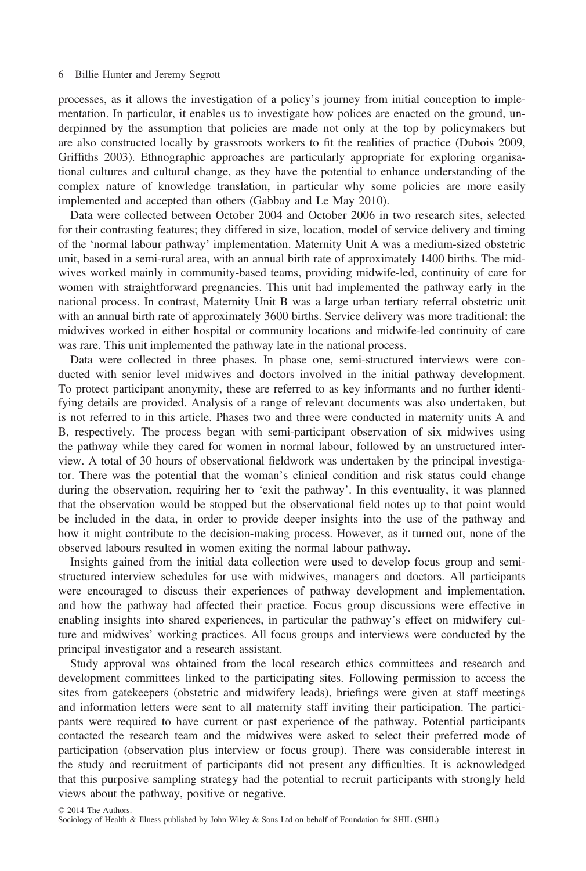processes, as it allows the investigation of a policy's journey from initial conception to implementation. In particular, it enables us to investigate how polices are enacted on the ground, underpinned by the assumption that policies are made not only at the top by policymakers but are also constructed locally by grassroots workers to fit the realities of practice (Dubois 2009, Griffiths 2003). Ethnographic approaches are particularly appropriate for exploring organisational cultures and cultural change, as they have the potential to enhance understanding of the complex nature of knowledge translation, in particular why some policies are more easily implemented and accepted than others (Gabbay and Le May 2010).

Data were collected between October 2004 and October 2006 in two research sites, selected for their contrasting features; they differed in size, location, model of service delivery and timing of the 'normal labour pathway' implementation. Maternity Unit A was a medium-sized obstetric unit, based in a semi-rural area, with an annual birth rate of approximately 1400 births. The midwives worked mainly in community-based teams, providing midwife-led, continuity of care for women with straightforward pregnancies. This unit had implemented the pathway early in the national process. In contrast, Maternity Unit B was a large urban tertiary referral obstetric unit with an annual birth rate of approximately 3600 births. Service delivery was more traditional: the midwives worked in either hospital or community locations and midwife-led continuity of care was rare. This unit implemented the pathway late in the national process.

Data were collected in three phases. In phase one, semi-structured interviews were conducted with senior level midwives and doctors involved in the initial pathway development. To protect participant anonymity, these are referred to as key informants and no further identifying details are provided. Analysis of a range of relevant documents was also undertaken, but is not referred to in this article. Phases two and three were conducted in maternity units A and B, respectively. The process began with semi-participant observation of six midwives using the pathway while they cared for women in normal labour, followed by an unstructured interview. A total of 30 hours of observational fieldwork was undertaken by the principal investigator. There was the potential that the woman's clinical condition and risk status could change during the observation, requiring her to 'exit the pathway'. In this eventuality, it was planned that the observation would be stopped but the observational field notes up to that point would be included in the data, in order to provide deeper insights into the use of the pathway and how it might contribute to the decision-making process. However, as it turned out, none of the observed labours resulted in women exiting the normal labour pathway.

Insights gained from the initial data collection were used to develop focus group and semistructured interview schedules for use with midwives, managers and doctors. All participants were encouraged to discuss their experiences of pathway development and implementation, and how the pathway had affected their practice. Focus group discussions were effective in enabling insights into shared experiences, in particular the pathway's effect on midwifery culture and midwives' working practices. All focus groups and interviews were conducted by the principal investigator and a research assistant.

Study approval was obtained from the local research ethics committees and research and development committees linked to the participating sites. Following permission to access the sites from gatekeepers (obstetric and midwifery leads), briefings were given at staff meetings and information letters were sent to all maternity staff inviting their participation. The participants were required to have current or past experience of the pathway. Potential participants contacted the research team and the midwives were asked to select their preferred mode of participation (observation plus interview or focus group). There was considerable interest in the study and recruitment of participants did not present any difficulties. It is acknowledged that this purposive sampling strategy had the potential to recruit participants with strongly held views about the pathway, positive or negative.

Sociology of Health & Illness published by John Wiley & Sons Ltd on behalf of Foundation for SHIL (SHIL)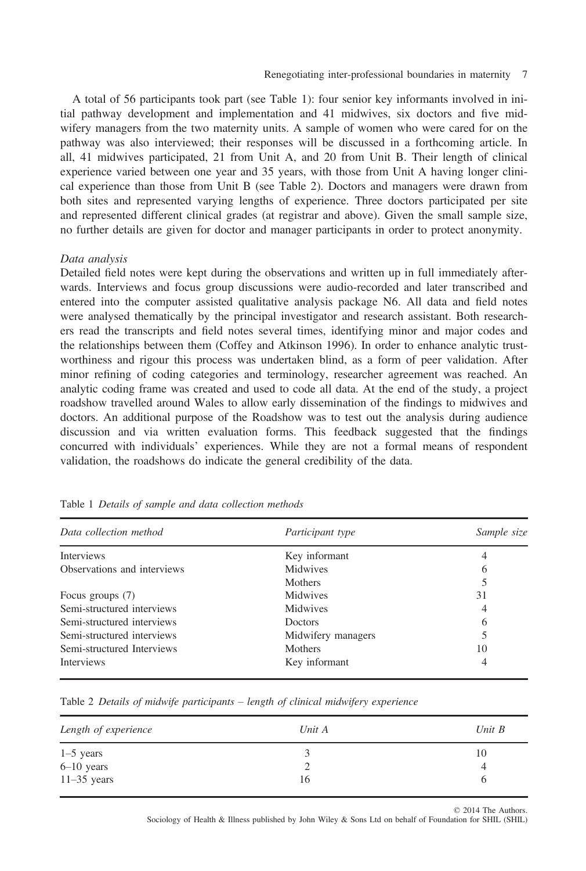A total of 56 participants took part (see Table 1): four senior key informants involved in initial pathway development and implementation and 41 midwives, six doctors and five midwifery managers from the two maternity units. A sample of women who were cared for on the pathway was also interviewed; their responses will be discussed in a forthcoming article. In all, 41 midwives participated, 21 from Unit A, and 20 from Unit B. Their length of clinical experience varied between one year and 35 years, with those from Unit A having longer clinical experience than those from Unit B (see Table 2). Doctors and managers were drawn from both sites and represented varying lengths of experience. Three doctors participated per site and represented different clinical grades (at registrar and above). Given the small sample size, no further details are given for doctor and manager participants in order to protect anonymity.

### Data analysis

Detailed field notes were kept during the observations and written up in full immediately afterwards. Interviews and focus group discussions were audio-recorded and later transcribed and entered into the computer assisted qualitative analysis package N6. All data and field notes were analysed thematically by the principal investigator and research assistant. Both researchers read the transcripts and field notes several times, identifying minor and major codes and the relationships between them (Coffey and Atkinson 1996). In order to enhance analytic trustworthiness and rigour this process was undertaken blind, as a form of peer validation. After minor refining of coding categories and terminology, researcher agreement was reached. An analytic coding frame was created and used to code all data. At the end of the study, a project roadshow travelled around Wales to allow early dissemination of the findings to midwives and doctors. An additional purpose of the Roadshow was to test out the analysis during audience discussion and via written evaluation forms. This feedback suggested that the findings concurred with individuals' experiences. While they are not a formal means of respondent validation, the roadshows do indicate the general credibility of the data.

| Data collection method      | Participant type   | Sample size |
|-----------------------------|--------------------|-------------|
| <b>Interviews</b>           | Key informant      | 4           |
| Observations and interviews | <b>Midwives</b>    | 6           |
|                             | Mothers            |             |
| Focus groups (7)            | <b>Midwives</b>    | 31          |
| Semi-structured interviews  | <b>Midwives</b>    | 4           |
| Semi-structured interviews  | Doctors            | 6           |
| Semi-structured interviews  | Midwifery managers | 5           |
| Semi-structured Interviews  | <b>Mothers</b>     | 10          |
| <b>Interviews</b>           | Key informant      | 4           |

Table 1 Details of sample and data collection methods

Table 2 Details of midwife participants – length of clinical midwifery experience

| Length of experience | Unit A | Unit $B$ |
|----------------------|--------|----------|
| $1-5$ years          |        | 10       |
| $6-10$ years         |        | 4        |
| $11-35$ years        | 16     |          |

© 2014 The Authors.

Sociology of Health & Illness published by John Wiley & Sons Ltd on behalf of Foundation for SHIL (SHIL)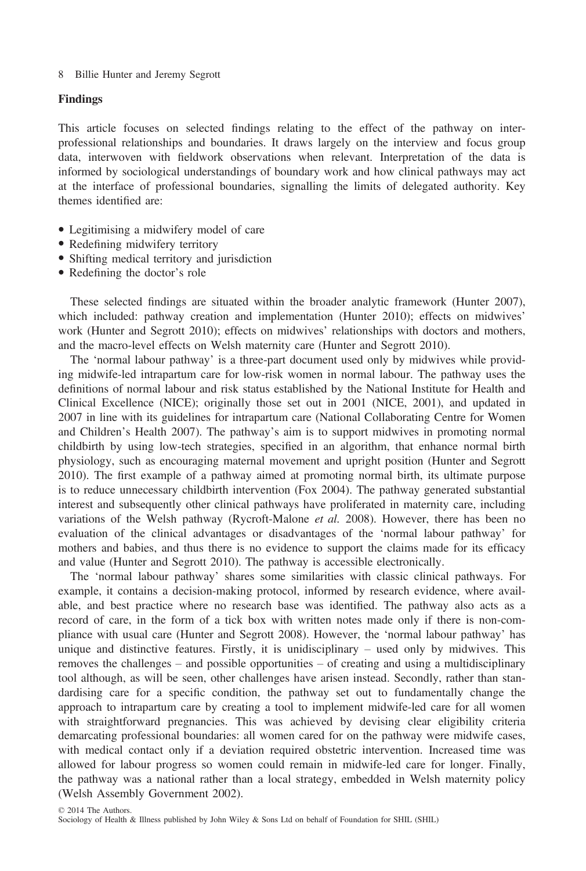#### Findings

This article focuses on selected findings relating to the effect of the pathway on interprofessional relationships and boundaries. It draws largely on the interview and focus group data, interwoven with fieldwork observations when relevant. Interpretation of the data is informed by sociological understandings of boundary work and how clinical pathways may act at the interface of professional boundaries, signalling the limits of delegated authority. Key themes identified are:

- Legitimising a midwifery model of care
- Redefining midwifery territory
- Shifting medical territory and jurisdiction
- Redefining the doctor's role

These selected findings are situated within the broader analytic framework (Hunter 2007), which included: pathway creation and implementation (Hunter 2010); effects on midwives' work (Hunter and Segrott 2010); effects on midwives' relationships with doctors and mothers, and the macro-level effects on Welsh maternity care (Hunter and Segrott 2010).

The 'normal labour pathway' is a three-part document used only by midwives while providing midwife-led intrapartum care for low-risk women in normal labour. The pathway uses the definitions of normal labour and risk status established by the National Institute for Health and Clinical Excellence (NICE); originally those set out in 2001 (NICE, 2001), and updated in 2007 in line with its guidelines for intrapartum care (National Collaborating Centre for Women and Children's Health 2007). The pathway's aim is to support midwives in promoting normal childbirth by using low-tech strategies, specified in an algorithm, that enhance normal birth physiology, such as encouraging maternal movement and upright position (Hunter and Segrott 2010). The first example of a pathway aimed at promoting normal birth, its ultimate purpose is to reduce unnecessary childbirth intervention (Fox 2004). The pathway generated substantial interest and subsequently other clinical pathways have proliferated in maternity care, including variations of the Welsh pathway (Rycroft-Malone et al. 2008). However, there has been no evaluation of the clinical advantages or disadvantages of the 'normal labour pathway' for mothers and babies, and thus there is no evidence to support the claims made for its efficacy and value (Hunter and Segrott 2010). The pathway is accessible electronically.

The 'normal labour pathway' shares some similarities with classic clinical pathways. For example, it contains a decision-making protocol, informed by research evidence, where available, and best practice where no research base was identified. The pathway also acts as a record of care, in the form of a tick box with written notes made only if there is non-compliance with usual care (Hunter and Segrott 2008). However, the 'normal labour pathway' has unique and distinctive features. Firstly, it is unidisciplinary – used only by midwives. This removes the challenges – and possible opportunities – of creating and using a multidisciplinary tool although, as will be seen, other challenges have arisen instead. Secondly, rather than standardising care for a specific condition, the pathway set out to fundamentally change the approach to intrapartum care by creating a tool to implement midwife-led care for all women with straightforward pregnancies. This was achieved by devising clear eligibility criteria demarcating professional boundaries: all women cared for on the pathway were midwife cases, with medical contact only if a deviation required obstetric intervention. Increased time was allowed for labour progress so women could remain in midwife-led care for longer. Finally, the pathway was a national rather than a local strategy, embedded in Welsh maternity policy (Welsh Assembly Government 2002).

Sociology of Health & Illness published by John Wiley & Sons Ltd on behalf of Foundation for SHIL (SHIL)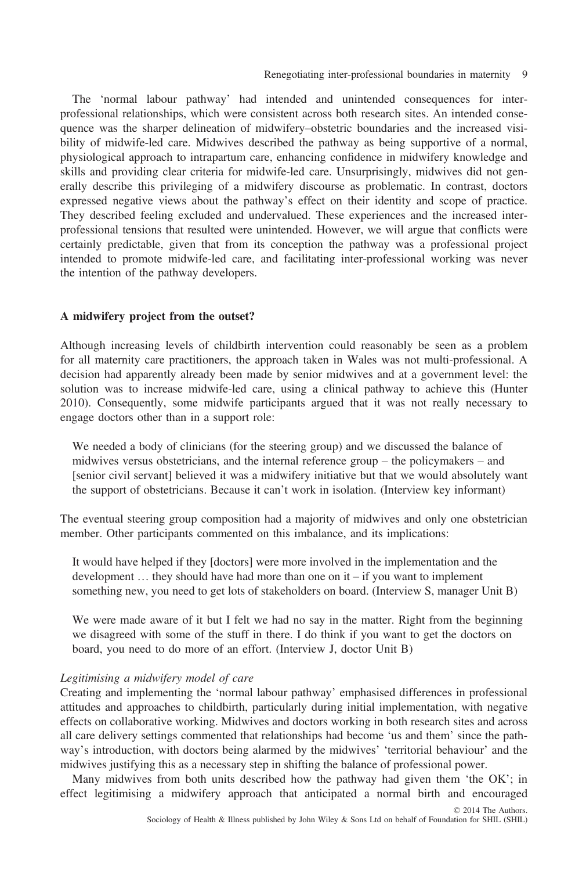The 'normal labour pathway' had intended and unintended consequences for interprofessional relationships, which were consistent across both research sites. An intended consequence was the sharper delineation of midwifery–obstetric boundaries and the increased visibility of midwife-led care. Midwives described the pathway as being supportive of a normal, physiological approach to intrapartum care, enhancing confidence in midwifery knowledge and skills and providing clear criteria for midwife-led care. Unsurprisingly, midwives did not generally describe this privileging of a midwifery discourse as problematic. In contrast, doctors expressed negative views about the pathway's effect on their identity and scope of practice. They described feeling excluded and undervalued. These experiences and the increased interprofessional tensions that resulted were unintended. However, we will argue that conflicts were certainly predictable, given that from its conception the pathway was a professional project intended to promote midwife-led care, and facilitating inter-professional working was never the intention of the pathway developers.

#### A midwifery project from the outset?

Although increasing levels of childbirth intervention could reasonably be seen as a problem for all maternity care practitioners, the approach taken in Wales was not multi-professional. A decision had apparently already been made by senior midwives and at a government level: the solution was to increase midwife-led care, using a clinical pathway to achieve this (Hunter 2010). Consequently, some midwife participants argued that it was not really necessary to engage doctors other than in a support role:

We needed a body of clinicians (for the steering group) and we discussed the balance of midwives versus obstetricians, and the internal reference group – the policymakers – and [senior civil servant] believed it was a midwifery initiative but that we would absolutely want the support of obstetricians. Because it can't work in isolation. (Interview key informant)

The eventual steering group composition had a majority of midwives and only one obstetrician member. Other participants commented on this imbalance, and its implications:

It would have helped if they [doctors] were more involved in the implementation and the development  $\dots$  they should have had more than one on it – if you want to implement something new, you need to get lots of stakeholders on board. (Interview S, manager Unit B)

We were made aware of it but I felt we had no say in the matter. Right from the beginning we disagreed with some of the stuff in there. I do think if you want to get the doctors on board, you need to do more of an effort. (Interview J, doctor Unit B)

# Legitimising a midwifery model of care

Creating and implementing the 'normal labour pathway' emphasised differences in professional attitudes and approaches to childbirth, particularly during initial implementation, with negative effects on collaborative working. Midwives and doctors working in both research sites and across all care delivery settings commented that relationships had become 'us and them' since the pathway's introduction, with doctors being alarmed by the midwives' 'territorial behaviour' and the midwives justifying this as a necessary step in shifting the balance of professional power.

Many midwives from both units described how the pathway had given them 'the OK'; in effect legitimising a midwifery approach that anticipated a normal birth and encouraged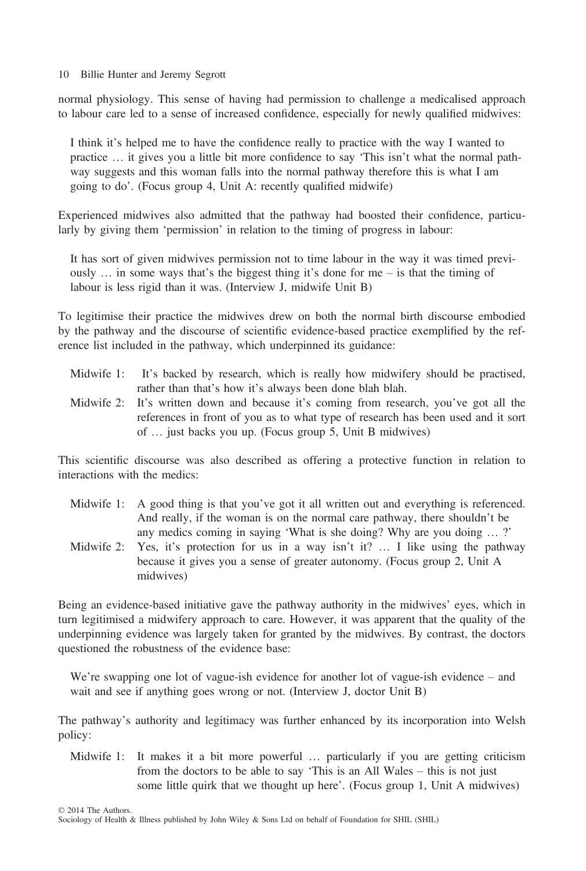normal physiology. This sense of having had permission to challenge a medicalised approach to labour care led to a sense of increased confidence, especially for newly qualified midwives:

I think it's helped me to have the confidence really to practice with the way I wanted to practice … it gives you a little bit more confidence to say 'This isn't what the normal pathway suggests and this woman falls into the normal pathway therefore this is what I am going to do'. (Focus group 4, Unit A: recently qualified midwife)

Experienced midwives also admitted that the pathway had boosted their confidence, particularly by giving them 'permission' in relation to the timing of progress in labour:

It has sort of given midwives permission not to time labour in the way it was timed previously … in some ways that's the biggest thing it's done for me – is that the timing of labour is less rigid than it was. (Interview J, midwife Unit B)

To legitimise their practice the midwives drew on both the normal birth discourse embodied by the pathway and the discourse of scientific evidence-based practice exemplified by the reference list included in the pathway, which underpinned its guidance:

- Midwife 1: It's backed by research, which is really how midwifery should be practised, rather than that's how it's always been done blah blah.
- Midwife 2: It's written down and because it's coming from research, you've got all the references in front of you as to what type of research has been used and it sort of … just backs you up. (Focus group 5, Unit B midwives)

This scientific discourse was also described as offering a protective function in relation to interactions with the medics:

- Midwife 1: A good thing is that you've got it all written out and everything is referenced. And really, if the woman is on the normal care pathway, there shouldn't be any medics coming in saying 'What is she doing? Why are you doing … ?'
- Midwife 2: Yes, it's protection for us in a way isn't it?  $\dots$  I like using the pathway because it gives you a sense of greater autonomy. (Focus group 2, Unit A midwives)

Being an evidence-based initiative gave the pathway authority in the midwives' eyes, which in turn legitimised a midwifery approach to care. However, it was apparent that the quality of the underpinning evidence was largely taken for granted by the midwives. By contrast, the doctors questioned the robustness of the evidence base:

We're swapping one lot of vague-ish evidence for another lot of vague-ish evidence – and wait and see if anything goes wrong or not. (Interview J, doctor Unit B)

The pathway's authority and legitimacy was further enhanced by its incorporation into Welsh policy:

Midwife 1: It makes it a bit more powerful ... particularly if you are getting criticism from the doctors to be able to say 'This is an All Wales – this is not just some little quirk that we thought up here'. (Focus group 1, Unit A midwives)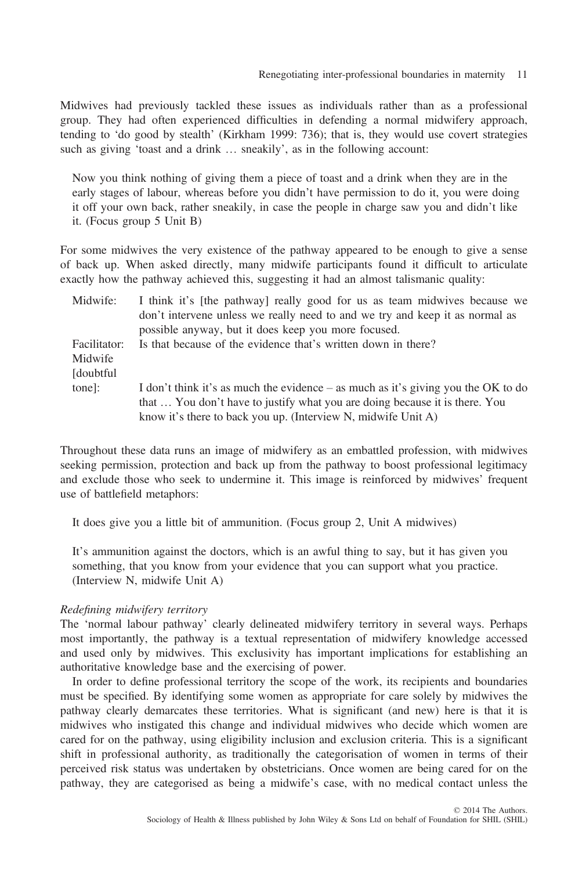Midwives had previously tackled these issues as individuals rather than as a professional group. They had often experienced difficulties in defending a normal midwifery approach, tending to 'do good by stealth' (Kirkham 1999: 736); that is, they would use covert strategies such as giving 'toast and a drink … sneakily', as in the following account:

Now you think nothing of giving them a piece of toast and a drink when they are in the early stages of labour, whereas before you didn't have permission to do it, you were doing it off your own back, rather sneakily, in case the people in charge saw you and didn't like it. (Focus group 5 Unit B)

For some midwives the very existence of the pathway appeared to be enough to give a sense of back up. When asked directly, many midwife participants found it difficult to articulate exactly how the pathway achieved this, suggesting it had an almost talismanic quality:

| Midwife:     | I think it's [the pathway] really good for us as team midwives because we                                                                                                                                                                  |
|--------------|--------------------------------------------------------------------------------------------------------------------------------------------------------------------------------------------------------------------------------------------|
|              | don't intervene unless we really need to and we try and keep it as normal as                                                                                                                                                               |
|              | possible anyway, but it does keep you more focused.                                                                                                                                                                                        |
| Facilitator: | Is that because of the evidence that's written down in there?                                                                                                                                                                              |
| Midwife      |                                                                                                                                                                                                                                            |
| [doubtful]   |                                                                                                                                                                                                                                            |
| tone]:       | I don't think it's as much the evidence $-\text{ as much as it's giving you the OK to do}$<br>that  You don't have to justify what you are doing because it is there. You<br>know it's there to back you up. (Interview N, midwife Unit A) |

Throughout these data runs an image of midwifery as an embattled profession, with midwives seeking permission, protection and back up from the pathway to boost professional legitimacy and exclude those who seek to undermine it. This image is reinforced by midwives' frequent use of battlefield metaphors:

It does give you a little bit of ammunition. (Focus group 2, Unit A midwives)

It's ammunition against the doctors, which is an awful thing to say, but it has given you something, that you know from your evidence that you can support what you practice. (Interview N, midwife Unit A)

#### Redefining midwifery territory

The 'normal labour pathway' clearly delineated midwifery territory in several ways. Perhaps most importantly, the pathway is a textual representation of midwifery knowledge accessed and used only by midwives. This exclusivity has important implications for establishing an authoritative knowledge base and the exercising of power.

In order to define professional territory the scope of the work, its recipients and boundaries must be specified. By identifying some women as appropriate for care solely by midwives the pathway clearly demarcates these territories. What is significant (and new) here is that it is midwives who instigated this change and individual midwives who decide which women are cared for on the pathway, using eligibility inclusion and exclusion criteria. This is a significant shift in professional authority, as traditionally the categorisation of women in terms of their perceived risk status was undertaken by obstetricians. Once women are being cared for on the pathway, they are categorised as being a midwife's case, with no medical contact unless the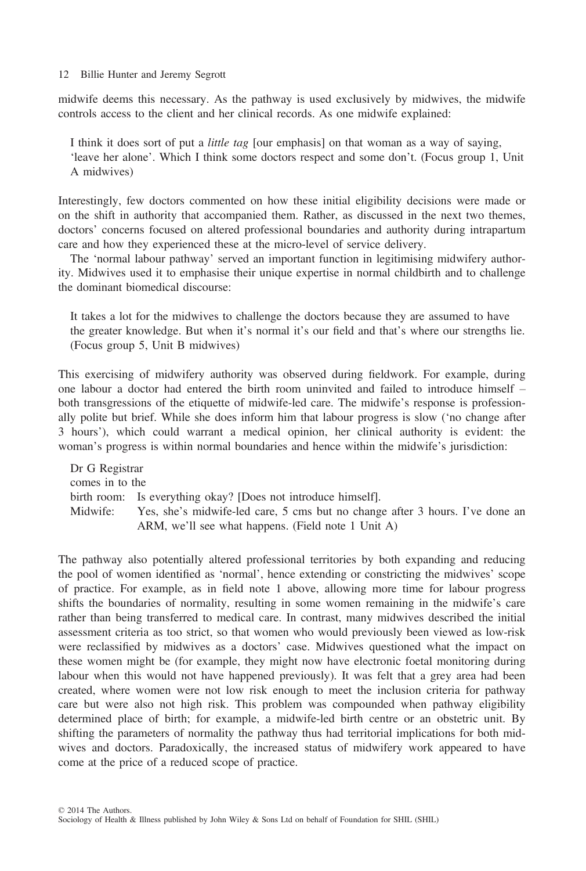midwife deems this necessary. As the pathway is used exclusively by midwives, the midwife controls access to the client and her clinical records. As one midwife explained:

I think it does sort of put a little tag [our emphasis] on that woman as a way of saying, 'leave her alone'. Which I think some doctors respect and some don't. (Focus group 1, Unit A midwives)

Interestingly, few doctors commented on how these initial eligibility decisions were made or on the shift in authority that accompanied them. Rather, as discussed in the next two themes, doctors' concerns focused on altered professional boundaries and authority during intrapartum care and how they experienced these at the micro-level of service delivery.

The 'normal labour pathway' served an important function in legitimising midwifery authority. Midwives used it to emphasise their unique expertise in normal childbirth and to challenge the dominant biomedical discourse:

It takes a lot for the midwives to challenge the doctors because they are assumed to have the greater knowledge. But when it's normal it's our field and that's where our strengths lie. (Focus group 5, Unit B midwives)

This exercising of midwifery authority was observed during fieldwork. For example, during one labour a doctor had entered the birth room uninvited and failed to introduce himself – both transgressions of the etiquette of midwife-led care. The midwife's response is professionally polite but brief. While she does inform him that labour progress is slow ('no change after 3 hours'), which could warrant a medical opinion, her clinical authority is evident: the woman's progress is within normal boundaries and hence within the midwife's jurisdiction:

Dr G Registrar comes in to the birth room: Is everything okay? [Does not introduce himself]. Midwife: Yes, she's midwife-led care, 5 cms but no change after 3 hours. I've done an ARM, we'll see what happens. (Field note 1 Unit A)

The pathway also potentially altered professional territories by both expanding and reducing the pool of women identified as 'normal', hence extending or constricting the midwives' scope of practice. For example, as in field note 1 above, allowing more time for labour progress shifts the boundaries of normality, resulting in some women remaining in the midwife's care rather than being transferred to medical care. In contrast, many midwives described the initial assessment criteria as too strict, so that women who would previously been viewed as low-risk were reclassified by midwives as a doctors' case. Midwives questioned what the impact on these women might be (for example, they might now have electronic foetal monitoring during labour when this would not have happened previously). It was felt that a grey area had been created, where women were not low risk enough to meet the inclusion criteria for pathway care but were also not high risk. This problem was compounded when pathway eligibility determined place of birth; for example, a midwife-led birth centre or an obstetric unit. By shifting the parameters of normality the pathway thus had territorial implications for both midwives and doctors. Paradoxically, the increased status of midwifery work appeared to have come at the price of a reduced scope of practice.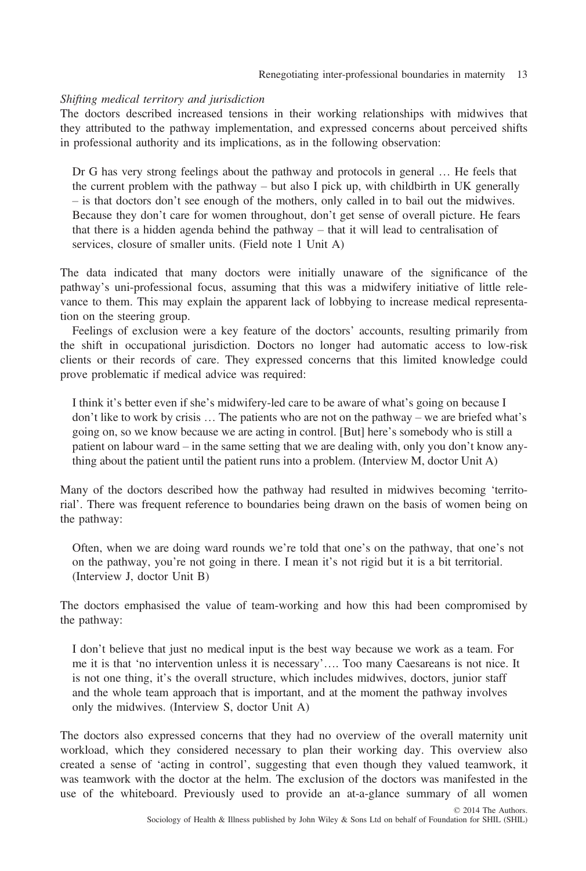## Shifting medical territory and jurisdiction

The doctors described increased tensions in their working relationships with midwives that they attributed to the pathway implementation, and expressed concerns about perceived shifts in professional authority and its implications, as in the following observation:

Dr G has very strong feelings about the pathway and protocols in general … He feels that the current problem with the pathway – but also I pick up, with childbirth in UK generally – is that doctors don't see enough of the mothers, only called in to bail out the midwives. Because they don't care for women throughout, don't get sense of overall picture. He fears that there is a hidden agenda behind the pathway – that it will lead to centralisation of services, closure of smaller units. (Field note 1 Unit A)

The data indicated that many doctors were initially unaware of the significance of the pathway's uni-professional focus, assuming that this was a midwifery initiative of little relevance to them. This may explain the apparent lack of lobbying to increase medical representation on the steering group.

Feelings of exclusion were a key feature of the doctors' accounts, resulting primarily from the shift in occupational jurisdiction. Doctors no longer had automatic access to low-risk clients or their records of care. They expressed concerns that this limited knowledge could prove problematic if medical advice was required:

I think it's better even if she's midwifery-led care to be aware of what's going on because I don't like to work by crisis … The patients who are not on the pathway – we are briefed what's going on, so we know because we are acting in control. [But] here's somebody who is still a patient on labour ward – in the same setting that we are dealing with, only you don't know anything about the patient until the patient runs into a problem. (Interview M, doctor Unit A)

Many of the doctors described how the pathway had resulted in midwives becoming 'territorial'. There was frequent reference to boundaries being drawn on the basis of women being on the pathway:

Often, when we are doing ward rounds we're told that one's on the pathway, that one's not on the pathway, you're not going in there. I mean it's not rigid but it is a bit territorial. (Interview J, doctor Unit B)

The doctors emphasised the value of team-working and how this had been compromised by the pathway:

I don't believe that just no medical input is the best way because we work as a team. For me it is that 'no intervention unless it is necessary'…. Too many Caesareans is not nice. It is not one thing, it's the overall structure, which includes midwives, doctors, junior staff and the whole team approach that is important, and at the moment the pathway involves only the midwives. (Interview S, doctor Unit A)

The doctors also expressed concerns that they had no overview of the overall maternity unit workload, which they considered necessary to plan their working day. This overview also created a sense of 'acting in control', suggesting that even though they valued teamwork, it was teamwork with the doctor at the helm. The exclusion of the doctors was manifested in the use of the whiteboard. Previously used to provide an at-a-glance summary of all women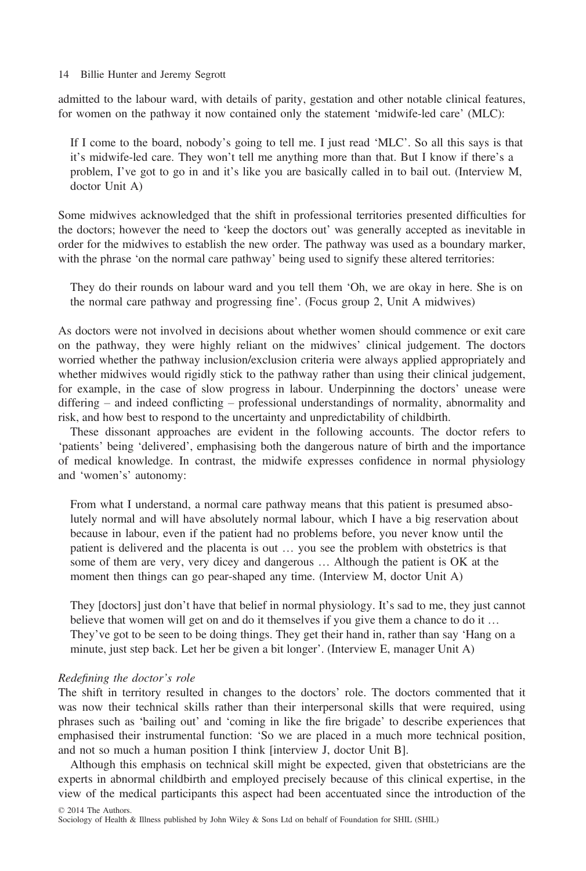admitted to the labour ward, with details of parity, gestation and other notable clinical features, for women on the pathway it now contained only the statement 'midwife-led care' (MLC):

If I come to the board, nobody's going to tell me. I just read 'MLC'. So all this says is that it's midwife-led care. They won't tell me anything more than that. But I know if there's a problem, I've got to go in and it's like you are basically called in to bail out. (Interview M, doctor Unit A)

Some midwives acknowledged that the shift in professional territories presented difficulties for the doctors; however the need to 'keep the doctors out' was generally accepted as inevitable in order for the midwives to establish the new order. The pathway was used as a boundary marker, with the phrase 'on the normal care pathway' being used to signify these altered territories:

They do their rounds on labour ward and you tell them 'Oh, we are okay in here. She is on the normal care pathway and progressing fine'. (Focus group 2, Unit A midwives)

As doctors were not involved in decisions about whether women should commence or exit care on the pathway, they were highly reliant on the midwives' clinical judgement. The doctors worried whether the pathway inclusion/exclusion criteria were always applied appropriately and whether midwives would rigidly stick to the pathway rather than using their clinical judgement, for example, in the case of slow progress in labour. Underpinning the doctors' unease were differing – and indeed conflicting – professional understandings of normality, abnormality and risk, and how best to respond to the uncertainty and unpredictability of childbirth.

These dissonant approaches are evident in the following accounts. The doctor refers to 'patients' being 'delivered', emphasising both the dangerous nature of birth and the importance of medical knowledge. In contrast, the midwife expresses confidence in normal physiology and 'women's' autonomy:

From what I understand, a normal care pathway means that this patient is presumed absolutely normal and will have absolutely normal labour, which I have a big reservation about because in labour, even if the patient had no problems before, you never know until the patient is delivered and the placenta is out … you see the problem with obstetrics is that some of them are very, very dicey and dangerous … Although the patient is OK at the moment then things can go pear-shaped any time. (Interview M, doctor Unit A)

They [doctors] just don't have that belief in normal physiology. It's sad to me, they just cannot believe that women will get on and do it themselves if you give them a chance to do it ... They've got to be seen to be doing things. They get their hand in, rather than say 'Hang on a minute, just step back. Let her be given a bit longer'. (Interview E, manager Unit A)

#### Redefining the doctor's role

The shift in territory resulted in changes to the doctors' role. The doctors commented that it was now their technical skills rather than their interpersonal skills that were required, using phrases such as 'bailing out' and 'coming in like the fire brigade' to describe experiences that emphasised their instrumental function: 'So we are placed in a much more technical position, and not so much a human position I think [interview J, doctor Unit B].

Although this emphasis on technical skill might be expected, given that obstetricians are the experts in abnormal childbirth and employed precisely because of this clinical expertise, in the view of the medical participants this aspect had been accentuated since the introduction of the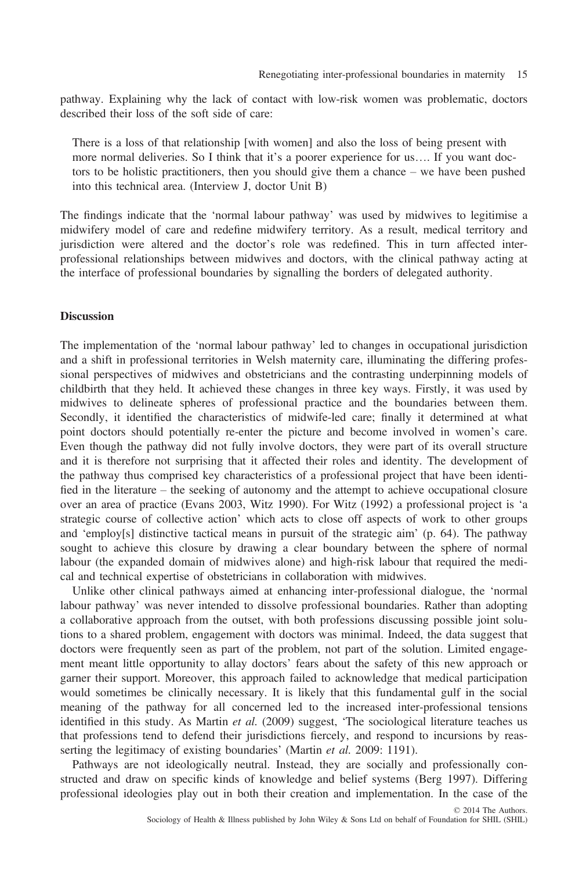pathway. Explaining why the lack of contact with low-risk women was problematic, doctors described their loss of the soft side of care:

There is a loss of that relationship [with women] and also the loss of being present with more normal deliveries. So I think that it's a poorer experience for us…. If you want doctors to be holistic practitioners, then you should give them a chance – we have been pushed into this technical area. (Interview J, doctor Unit B)

The findings indicate that the 'normal labour pathway' was used by midwives to legitimise a midwifery model of care and redefine midwifery territory. As a result, medical territory and jurisdiction were altered and the doctor's role was redefined. This in turn affected interprofessional relationships between midwives and doctors, with the clinical pathway acting at the interface of professional boundaries by signalling the borders of delegated authority.

#### **Discussion**

The implementation of the 'normal labour pathway' led to changes in occupational jurisdiction and a shift in professional territories in Welsh maternity care, illuminating the differing professional perspectives of midwives and obstetricians and the contrasting underpinning models of childbirth that they held. It achieved these changes in three key ways. Firstly, it was used by midwives to delineate spheres of professional practice and the boundaries between them. Secondly, it identified the characteristics of midwife-led care; finally it determined at what point doctors should potentially re-enter the picture and become involved in women's care. Even though the pathway did not fully involve doctors, they were part of its overall structure and it is therefore not surprising that it affected their roles and identity. The development of the pathway thus comprised key characteristics of a professional project that have been identified in the literature – the seeking of autonomy and the attempt to achieve occupational closure over an area of practice (Evans 2003, Witz 1990). For Witz (1992) a professional project is 'a strategic course of collective action' which acts to close off aspects of work to other groups and 'employ[s] distinctive tactical means in pursuit of the strategic aim' (p. 64). The pathway sought to achieve this closure by drawing a clear boundary between the sphere of normal labour (the expanded domain of midwives alone) and high-risk labour that required the medical and technical expertise of obstetricians in collaboration with midwives.

Unlike other clinical pathways aimed at enhancing inter-professional dialogue, the 'normal labour pathway' was never intended to dissolve professional boundaries. Rather than adopting a collaborative approach from the outset, with both professions discussing possible joint solutions to a shared problem, engagement with doctors was minimal. Indeed, the data suggest that doctors were frequently seen as part of the problem, not part of the solution. Limited engagement meant little opportunity to allay doctors' fears about the safety of this new approach or garner their support. Moreover, this approach failed to acknowledge that medical participation would sometimes be clinically necessary. It is likely that this fundamental gulf in the social meaning of the pathway for all concerned led to the increased inter-professional tensions identified in this study. As Martin et al.  $(2009)$  suggest, 'The sociological literature teaches us that professions tend to defend their jurisdictions fiercely, and respond to incursions by reasserting the legitimacy of existing boundaries' (Martin et al. 2009: 1191).

Pathways are not ideologically neutral. Instead, they are socially and professionally constructed and draw on specific kinds of knowledge and belief systems (Berg 1997). Differing professional ideologies play out in both their creation and implementation. In the case of the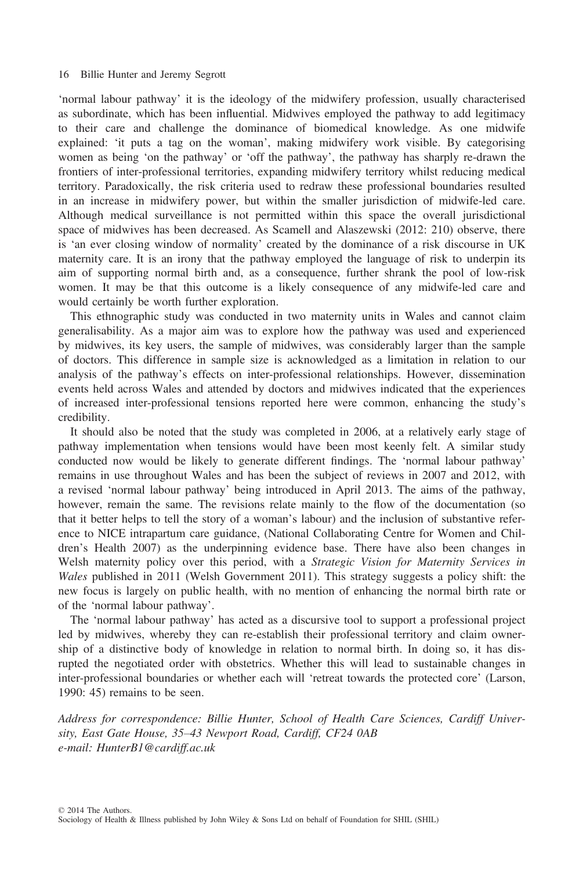'normal labour pathway' it is the ideology of the midwifery profession, usually characterised as subordinate, which has been influential. Midwives employed the pathway to add legitimacy to their care and challenge the dominance of biomedical knowledge. As one midwife explained: 'it puts a tag on the woman', making midwifery work visible. By categorising women as being 'on the pathway' or 'off the pathway', the pathway has sharply re-drawn the frontiers of inter-professional territories, expanding midwifery territory whilst reducing medical territory. Paradoxically, the risk criteria used to redraw these professional boundaries resulted in an increase in midwifery power, but within the smaller jurisdiction of midwife-led care. Although medical surveillance is not permitted within this space the overall jurisdictional space of midwives has been decreased. As Scamell and Alaszewski (2012: 210) observe, there is 'an ever closing window of normality' created by the dominance of a risk discourse in UK maternity care. It is an irony that the pathway employed the language of risk to underpin its aim of supporting normal birth and, as a consequence, further shrank the pool of low-risk women. It may be that this outcome is a likely consequence of any midwife-led care and would certainly be worth further exploration.

This ethnographic study was conducted in two maternity units in Wales and cannot claim generalisability. As a major aim was to explore how the pathway was used and experienced by midwives, its key users, the sample of midwives, was considerably larger than the sample of doctors. This difference in sample size is acknowledged as a limitation in relation to our analysis of the pathway's effects on inter-professional relationships. However, dissemination events held across Wales and attended by doctors and midwives indicated that the experiences of increased inter-professional tensions reported here were common, enhancing the study's credibility.

It should also be noted that the study was completed in 2006, at a relatively early stage of pathway implementation when tensions would have been most keenly felt. A similar study conducted now would be likely to generate different findings. The 'normal labour pathway' remains in use throughout Wales and has been the subject of reviews in 2007 and 2012, with a revised 'normal labour pathway' being introduced in April 2013. The aims of the pathway, however, remain the same. The revisions relate mainly to the flow of the documentation (so that it better helps to tell the story of a woman's labour) and the inclusion of substantive reference to NICE intrapartum care guidance, (National Collaborating Centre for Women and Children's Health 2007) as the underpinning evidence base. There have also been changes in Welsh maternity policy over this period, with a Strategic Vision for Maternity Services in Wales published in 2011 (Welsh Government 2011). This strategy suggests a policy shift: the new focus is largely on public health, with no mention of enhancing the normal birth rate or of the 'normal labour pathway'.

The 'normal labour pathway' has acted as a discursive tool to support a professional project led by midwives, whereby they can re-establish their professional territory and claim ownership of a distinctive body of knowledge in relation to normal birth. In doing so, it has disrupted the negotiated order with obstetrics. Whether this will lead to sustainable changes in inter-professional boundaries or whether each will 'retreat towards the protected core' (Larson, 1990: 45) remains to be seen.

Address for correspondence: Billie Hunter, School of Health Care Sciences, Cardiff University, East Gate House, 35–43 Newport Road, Cardiff, CF24 0AB e-mail: HunterB1@cardiff.ac.uk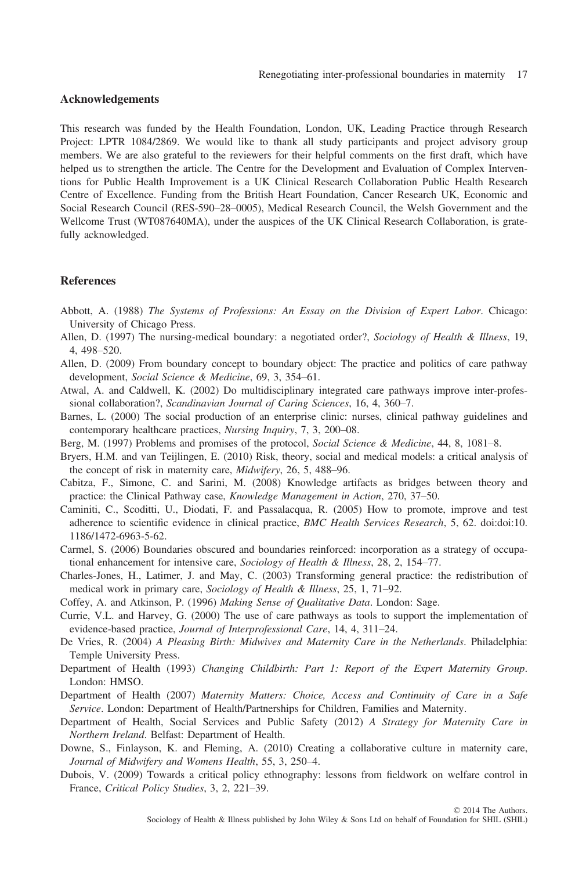# Acknowledgements

This research was funded by the Health Foundation, London, UK, Leading Practice through Research Project: LPTR 1084/2869. We would like to thank all study participants and project advisory group members. We are also grateful to the reviewers for their helpful comments on the first draft, which have helped us to strengthen the article. The Centre for the Development and Evaluation of Complex Interventions for Public Health Improvement is a UK Clinical Research Collaboration Public Health Research Centre of Excellence. Funding from the British Heart Foundation, Cancer Research UK, Economic and Social Research Council (RES-590–28–0005), Medical Research Council, the Welsh Government and the Wellcome Trust (WT087640MA), under the auspices of the UK Clinical Research Collaboration, is gratefully acknowledged.

## References

- Abbott, A. (1988) The Systems of Professions: An Essay on the Division of Expert Labor. Chicago: University of Chicago Press.
- Allen, D. (1997) The nursing-medical boundary: a negotiated order?, *Sociology of Health & Illness*, 19, 4, 498–520.
- Allen, D. (2009) From boundary concept to boundary object: The practice and politics of care pathway development, Social Science & Medicine, 69, 3, 354–61.
- Atwal, A. and Caldwell, K. (2002) Do multidisciplinary integrated care pathways improve inter-professional collaboration?, Scandinavian Journal of Caring Sciences, 16, 4, 360–7.
- Barnes, L. (2000) The social production of an enterprise clinic: nurses, clinical pathway guidelines and contemporary healthcare practices, Nursing Inquiry, 7, 3, 200–08.
- Berg, M. (1997) Problems and promises of the protocol, Social Science & Medicine, 44, 8, 1081–8.
- Bryers, H.M. and van Teijlingen, E. (2010) Risk, theory, social and medical models: a critical analysis of the concept of risk in maternity care, Midwifery, 26, 5, 488–96.
- Cabitza, F., Simone, C. and Sarini, M. (2008) Knowledge artifacts as bridges between theory and practice: the Clinical Pathway case, Knowledge Management in Action, 270, 37–50.
- Caminiti, C., Scoditti, U., Diodati, F. and Passalacqua, R. (2005) How to promote, improve and test adherence to scientific evidence in clinical practice, BMC Health Services Research, 5, 62. doi:doi:10. 1186/1472-6963-5-62.
- Carmel, S. (2006) Boundaries obscured and boundaries reinforced: incorporation as a strategy of occupational enhancement for intensive care, Sociology of Health & Illness, 28, 2, 154–77.
- Charles-Jones, H., Latimer, J. and May, C. (2003) Transforming general practice: the redistribution of medical work in primary care, Sociology of Health & Illness, 25, 1, 71–92.
- Coffey, A. and Atkinson, P. (1996) Making Sense of Qualitative Data. London: Sage.
- Currie, V.L. and Harvey, G. (2000) The use of care pathways as tools to support the implementation of evidence-based practice, Journal of Interprofessional Care, 14, 4, 311–24.
- De Vries, R. (2004) A Pleasing Birth: Midwives and Maternity Care in the Netherlands. Philadelphia: Temple University Press.
- Department of Health (1993) Changing Childbirth: Part 1: Report of the Expert Maternity Group. London: HMSO.
- Department of Health (2007) Maternity Matters: Choice, Access and Continuity of Care in a Safe Service. London: Department of Health/Partnerships for Children, Families and Maternity.
- Department of Health, Social Services and Public Safety (2012) A Strategy for Maternity Care in Northern Ireland. Belfast: Department of Health.
- Downe, S., Finlayson, K. and Fleming, A. (2010) Creating a collaborative culture in maternity care, Journal of Midwifery and Womens Health, 55, 3, 250–4.
- Dubois, V. (2009) Towards a critical policy ethnography: lessons from fieldwork on welfare control in France, Critical Policy Studies, 3, 2, 221–39.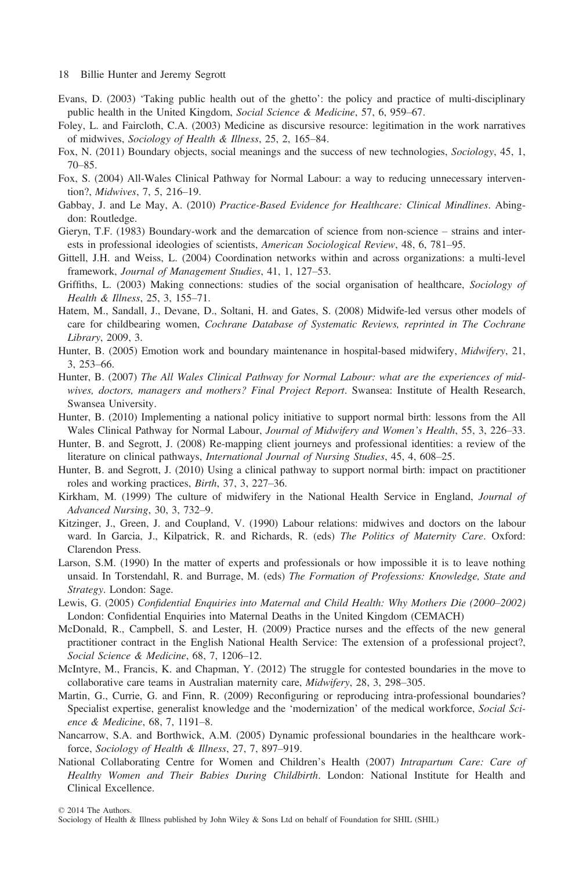- Evans, D. (2003) 'Taking public health out of the ghetto': the policy and practice of multi-disciplinary public health in the United Kingdom, Social Science & Medicine, 57, 6, 959–67.
- Foley, L. and Faircloth, C.A. (2003) Medicine as discursive resource: legitimation in the work narratives of midwives, Sociology of Health & Illness, 25, 2, 165–84.
- Fox, N. (2011) Boundary objects, social meanings and the success of new technologies, Sociology, 45, 1, 70–85.
- Fox, S. (2004) All-Wales Clinical Pathway for Normal Labour: a way to reducing unnecessary intervention?, Midwives, 7, 5, 216–19.
- Gabbay, J. and Le May, A. (2010) Practice-Based Evidence for Healthcare: Clinical Mindlines. Abingdon: Routledge.
- Gieryn, T.F. (1983) Boundary-work and the demarcation of science from non-science strains and interests in professional ideologies of scientists, American Sociological Review, 48, 6, 781–95.
- Gittell, J.H. and Weiss, L. (2004) Coordination networks within and across organizations: a multi-level framework, Journal of Management Studies, 41, 1, 127–53.
- Griffiths, L. (2003) Making connections: studies of the social organisation of healthcare, Sociology of Health & Illness, 25, 3, 155–71.
- Hatem, M., Sandall, J., Devane, D., Soltani, H. and Gates, S. (2008) Midwife-led versus other models of care for childbearing women, Cochrane Database of Systematic Reviews, reprinted in The Cochrane Library, 2009, 3.
- Hunter, B. (2005) Emotion work and boundary maintenance in hospital-based midwifery, Midwifery, 21, 3, 253–66.
- Hunter, B. (2007) The All Wales Clinical Pathway for Normal Labour: what are the experiences of midwives, doctors, managers and mothers? Final Project Report. Swansea: Institute of Health Research, Swansea University.
- Hunter, B. (2010) Implementing a national policy initiative to support normal birth: lessons from the All Wales Clinical Pathway for Normal Labour, Journal of Midwifery and Women's Health, 55, 3, 226–33.
- Hunter, B. and Segrott, J. (2008) Re-mapping client journeys and professional identities: a review of the literature on clinical pathways, International Journal of Nursing Studies, 45, 4, 608–25.
- Hunter, B. and Segrott, J. (2010) Using a clinical pathway to support normal birth: impact on practitioner roles and working practices, Birth, 37, 3, 227–36.
- Kirkham, M. (1999) The culture of midwifery in the National Health Service in England, Journal of Advanced Nursing, 30, 3, 732–9.
- Kitzinger, J., Green, J. and Coupland, V. (1990) Labour relations: midwives and doctors on the labour ward. In Garcia, J., Kilpatrick, R. and Richards, R. (eds) The Politics of Maternity Care. Oxford: Clarendon Press.
- Larson, S.M. (1990) In the matter of experts and professionals or how impossible it is to leave nothing unsaid. In Torstendahl, R. and Burrage, M. (eds) The Formation of Professions: Knowledge, State and Strategy. London: Sage.
- Lewis, G. (2005) Confidential Enquiries into Maternal and Child Health: Why Mothers Die (2000–2002) London: Confidential Enquiries into Maternal Deaths in the United Kingdom (CEMACH)
- McDonald, R., Campbell, S. and Lester, H. (2009) Practice nurses and the effects of the new general practitioner contract in the English National Health Service: The extension of a professional project?, Social Science & Medicine, 68, 7, 1206–12.
- McIntyre, M., Francis, K. and Chapman, Y. (2012) The struggle for contested boundaries in the move to collaborative care teams in Australian maternity care, Midwifery, 28, 3, 298–305.
- Martin, G., Currie, G. and Finn, R. (2009) Reconfiguring or reproducing intra-professional boundaries? Specialist expertise, generalist knowledge and the 'modernization' of the medical workforce, Social Science & Medicine, 68, 7, 1191–8.
- Nancarrow, S.A. and Borthwick, A.M. (2005) Dynamic professional boundaries in the healthcare workforce, Sociology of Health & Illness, 27, 7, 897–919.
- National Collaborating Centre for Women and Children's Health (2007) Intrapartum Care: Care of Healthy Women and Their Babies During Childbirth. London: National Institute for Health and Clinical Excellence.

Sociology of Health & Illness published by John Wiley & Sons Ltd on behalf of Foundation for SHIL (SHIL)